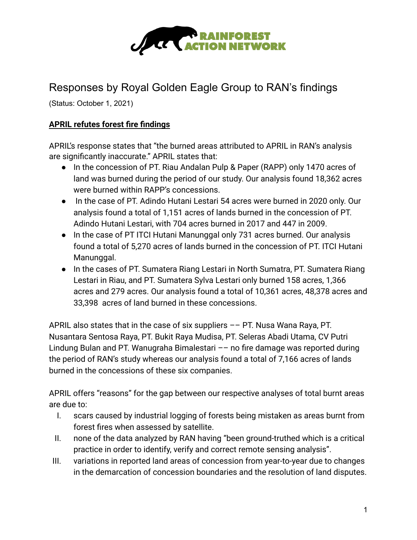

## Responses by Royal Golden Eagle Group to RAN's findings

(Status: October 1, 2021)

## **APRIL refutes forest fire findings**

APRIL's response states that "the burned areas attributed to APRIL in RAN's analysis are significantly inaccurate." APRIL states that:

- In the concession of PT. Riau Andalan Pulp & Paper (RAPP) only 1470 acres of land was burned during the period of our study. Our analysis found 18,362 acres were burned within RAPP's concessions.
- In the case of PT. Adindo Hutani Lestari 54 acres were burned in 2020 only. Our analysis found a total of 1,151 acres of lands burned in the concession of PT. Adindo Hutani Lestari, with 704 acres burned in 2017 and 447 in 2009.
- In the case of PT ITCI Hutani Manunggal only 731 acres burned. Our analysis found a total of 5,270 acres of lands burned in the concession of PT. ITCI Hutani Manunggal.
- In the cases of PT. Sumatera Riang Lestari in North Sumatra, PT. Sumatera Riang Lestari in Riau, and PT. Sumatera Sylva Lestari only burned 158 acres, 1,366 acres and 279 acres. Our analysis found a total of 10,361 acres, 48,378 acres and 33,398 acres of land burned in these concessions.

APRIL also states that in the case of six suppliers –– PT. Nusa Wana Raya, PT. Nusantara Sentosa Raya, PT. Bukit Raya Mudisa, PT. Seleras Abadi Utama, CV Putri Lindung Bulan and PT. Wanugraha Bimalestari –– no fire damage was reported during the period of RAN's study whereas our analysis found a total of 7,166 acres of lands burned in the concessions of these six companies.

APRIL offers "reasons" for the gap between our respective analyses of total burnt areas are due to:

- I. scars caused by industrial logging of forests being mistaken as areas burnt from forest fires when assessed by satellite.
- II. none of the data analyzed by RAN having "been ground-truthed which is a critical practice in order to identify, verify and correct remote sensing analysis".
- III. variations in reported land areas of concession from year-to-year due to changes in the demarcation of concession boundaries and the resolution of land disputes.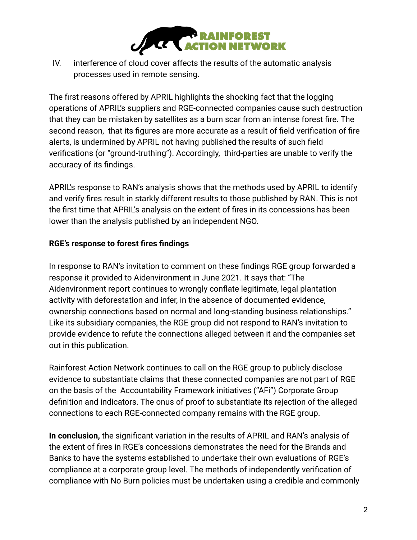

IV. interference of cloud cover affects the results of the automatic analysis processes used in remote sensing.

The first reasons offered by APRIL highlights the shocking fact that the logging operations of APRIL's suppliers and RGE-connected companies cause such destruction that they can be mistaken by satellites as a burn scar from an intense forest fire. The second reason, that its figures are more accurate as a result of field verification of fire alerts, is undermined by APRIL not having published the results of such field verifications (or "ground-truthing"). Accordingly, third-parties are unable to verify the accuracy of its findings.

APRIL's response to RAN's analysis shows that the methods used by APRIL to identify and verify fires result in starkly different results to those published by RAN. This is not the first time that APRIL's analysis on the extent of fires in its concessions has been lower than the analysis published by an independent NGO.

## **RGE's response to forest fires findings**

In response to RAN's invitation to comment on these findings RGE group forwarded a response it provided to Aidenvironment in June 2021. It says that: "The Aidenvironment report continues to wrongly conflate legitimate, legal plantation activity with deforestation and infer, in the absence of documented evidence, ownership connections based on normal and long-standing business relationships." Like its subsidiary companies, the RGE group did not respond to RAN's invitation to provide evidence to refute the connections alleged between it and the companies set out in this publication.

Rainforest Action Network continues to call on the RGE group to publicly disclose evidence to substantiate claims that these connected companies are not part of RGE on the basis of the Accountability Framework initiatives ("AFi") Corporate Group definition and indicators. The onus of proof to substantiate its rejection of the alleged connections to each RGE-connected company remains with the RGE group.

**In conclusion,** the significant variation in the results of APRIL and RAN's analysis of the extent of fires in RGE's concessions demonstrates the need for the Brands and Banks to have the systems established to undertake their own evaluations of RGE's compliance at a corporate group level. The methods of independently verification of compliance with No Burn policies must be undertaken using a credible and commonly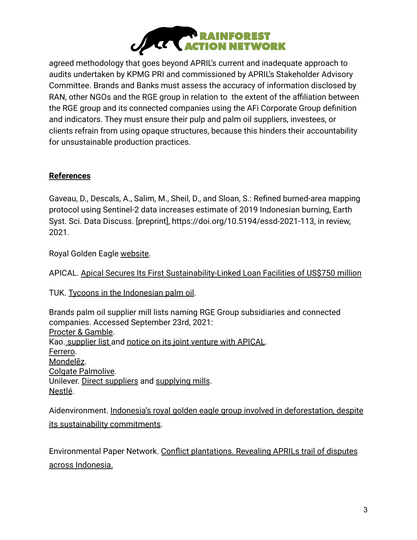

agreed methodology that goes beyond APRIL's current and inadequate approach to audits undertaken by KPMG PRI and commissioned by APRIL's Stakeholder Advisory Committee. Brands and Banks must assess the accuracy of information disclosed by RAN, other NGOs and the RGE group in relation to the extent of the affiliation between the RGE group and its connected companies using the AFi Corporate Group definition and indicators. They must ensure their pulp and palm oil suppliers, investees, or clients refrain from using opaque structures, because this hinders their accountability for unsustainable production practices.

## **References**

Gaveau, D., Descals, A., Salim, M., Sheil, D., and Sloan, S.: Refined burned-area mapping protocol using Sentinel-2 data increases estimate of 2019 Indonesian burning, Earth Syst. Sci. Data Discuss. [preprint], https://doi.org/10.5194/essd-2021-113, in review, 2021.

Royal Golden Eagle [website.](https://www.rgei.com/)

APICAL. [Apical Secures Its First Sustainability-Linked](https://www.apicalgroup.com/wp-content/uploads/2021/08/Press-Release-Apical-secures-sustainability-linked-loan-facility-of-US750-million.pdf) Loan Facilities of US\$750 million

TUK. [Tycoons in the Indonesian palm oil](https://www.tuk.or.id/2019/03/tycoon-in-the-indonesian-palm-oil/?lang=en).

Brands palm oil supplier mill lists naming RGE Group subsidiaries and connected companies. Accessed September 23rd, 2021: [Procter & Gamble.](https://s1.q4cdn.com/695946674/files/doc_downloads/esg/2021/PG-Palm-Oils-Mill-List-FINAL.pdf) Kao. [supplier list](https://www.kao.com/content/dam/sites/kao/www-kao-com/global/en/sustainability/pdf/progress-2020-001.pdf) and [notice on its joint venture](https://www.kao.com/global/en/news/business-finance/2019/20190513-001/) with APICAL. [Ferrero](https://www.ferrerosustainability.com/int/sites/ferrerosustainability_int/files/2021-06/mill_list_june_2021.pdf). [Mondelēz](https://www.mondelezinternational.com/-/media/Mondelez/Snacking-Made-Right/ESG-Topics/Palm-Oil/Mills_Data2125.pdf). [Colgate Palmolive](https://www.colgatepalmolive.com/content/dam/cp-sites/corporate/corporate/en_us/corp/locale-assets/pdf/colgate-palmolive-company-h2-2020-mill-list-suppliers.pdf). Unilever. [Direct suppliers](https://assets.unilever.com/files/92ui5egz/production/ea5b6ed63840e1a69c85b7a73b5c31f35185dac2.pdf/unilevers-palm-oil-facility-list-declared-by-ul-suppliers-2020.pdf) and [supplying mills](https://assets.unilever.com/files/92ui5egz/production/e84d22e1c71e43033d21b63a172143c2f54595c8.pdf/unilevers-palm-oil-mill-list-declared-by-ul-suppliers-2020.pdf). [Nestlé](https://www.nestle.com/sites/default/files/2019-08/supply-chain-disclosure-palm-oil.pdf).

Aidenvironment. [Indonesia's royal golden eagle group](https://www.aidenvironment.org/2021/03/16/indonesias-royal-golden-eagle-group-involved-in-deforestation-despite-its-sustainability-commitments/) involved in deforestation, despite [its sustainability commitments](https://www.aidenvironment.org/2021/03/16/indonesias-royal-golden-eagle-group-involved-in-deforestation-despite-its-sustainability-commitments/).

Environmental Paper Network. Conflict plantations. [Revealing APRILs trail of disputes](https://environmentalpaper.org/wp-content/uploads/2019/09/APRIL-social-conflicts-mapping.pdf) [across Indonesia.](https://environmentalpaper.org/wp-content/uploads/2019/09/APRIL-social-conflicts-mapping.pdf)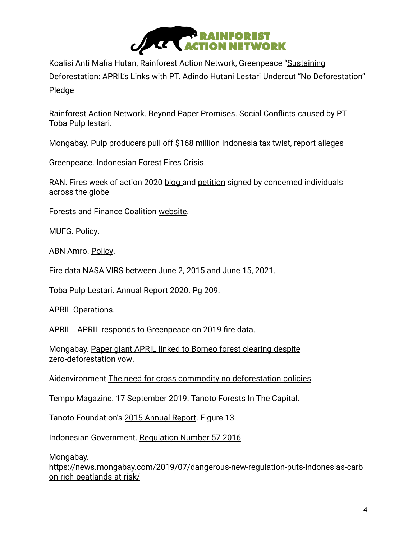

Koalisi Anti Mafia Hutan, Rainforest Action Network, Greenpeace "[Sustaining](https://auriga.or.id/resources/reports/69/sustaining-deforestation-april-s-links-with-pt-adindo-hutani-lestari-undercut-no-deforestation-pledge) [Deforestation](https://auriga.or.id/resources/reports/69/sustaining-deforestation-april-s-links-with-pt-adindo-hutani-lestari-undercut-no-deforestation-pledge): APRIL's Links with PT. Adindo Hutani Lestari Undercut "No Deforestation" Pledge

Rainforest Action Network. [Beyond Paper Promises](https://www.ran.org/beyond_paper_promises/#story-item-17729). Social Conflicts caused by PT. Toba Pulp lestari.

Mongabay. [Pulp producers pull off \\$168 million Indonesia](https://news.mongabay.com/2020/12/pulp-paper-toba-pulp-lestari-april-tax-export-report/) tax twist, report alleges

Greenpeace. [Indonesian Forest Fires Crisis.](https://www.greenpeace.org/southeastasia/publication/3106/3106/)

RAN. Fires week of action 2020 [blog](https://www.ran.org/the-understory/fires-week-of-action-2020/) and [petition](https://act.ran.org/page/21918/petition/1) signed by concerned individuals across the globe

Forests and Finance Coalition [website](https://forestsandfinance.org/).

MUFG. [Policy](https://www.mufg.jp/dam/pressrelease/2021/pdf/news-20210426-001_en.pdf).

ABN Amro. [Policy](https://assets.ctfassets.net/1u811bvgvthc/23G6EOlfvajCcyk9yxSt2t/b7cfe6d9a2b688c48175ebf90cd159d4/ABN_AMRO_Summary_agri-commodities_policy.pdf).

Fire data NASA VIRS between June 2, 2015 and June 15, 2021.

Toba Pulp Lestari. [Annual Report 2020.](https://www.tobapulp.com/en/investor-relations/) Pg 209.

APRIL [Operations.](https://www.aprilasia.com/en/about-us/our-operations)

APRIL . [APRIL responds to Greenpeace on 2019 fire](https://www.aprildialog.com/en/2020/10/21/april-responds-to-greenpeace-on-2019-fire-data/) data.

Mongabay. [Paper giant APRIL linked to Borneo forest](https://news.mongabay.com/2020/10/pulp-paper-april-zero-deforestation-borneo-adindo-hutani-lestari/) clearing despite [zero-deforestation vow](https://news.mongabay.com/2020/10/pulp-paper-april-zero-deforestation-borneo-adindo-hutani-lestari/).

Aidenvironment. The need for cross commodity no deforestation policies.

Tempo Magazine. 17 September 2019. Tanoto Forests In The Capital.

Tanoto Foundation's [2015 Annual Report](https://www.inside-rge.com/empowering-lives/tanoto-foundation-2015-annual-report/). Figure 13.

Indonesian Government. [Regulation Number 57 2016.](http://pkgppkl.menlhk.go.id/v0/wp-content/uploads/2018/10/Regulation-of-Gov_Number57_2016.pdf)

Mongabay.

[https://news.mongabay.com/2019/07/dangerous-new-regulation-puts-indonesias-carb](https://news.mongabay.com/2019/07/dangerous-new-regulation-puts-indonesias-carbon-rich-peatlands-at-risk/) [on-rich-peatlands-at-risk/](https://news.mongabay.com/2019/07/dangerous-new-regulation-puts-indonesias-carbon-rich-peatlands-at-risk/)